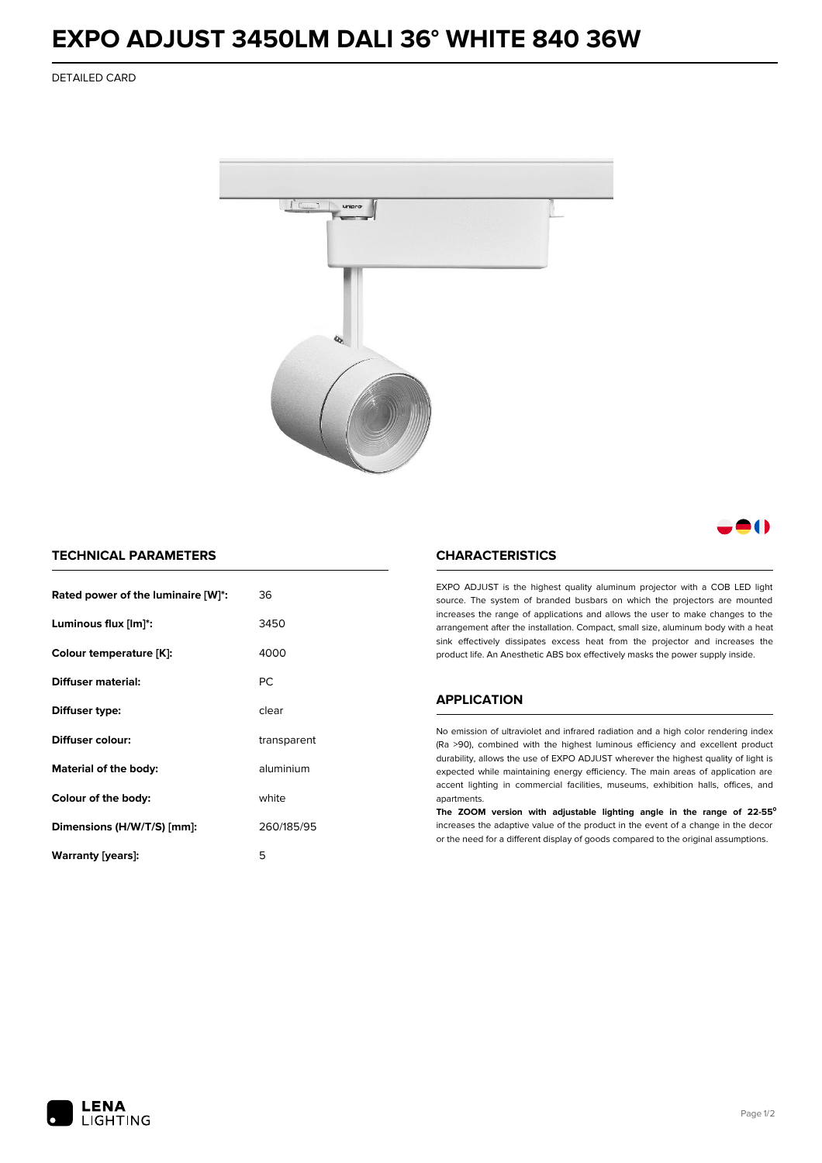## **EXPO ADJUST 3450LM DALI 36° WHITE 840 36W**

DETAILED CARD



### 8 ( )

#### **TECHNICAL PARAMETERS**

| Rated power of the luminaire [W]*: | 36          |  |
|------------------------------------|-------------|--|
| Luminous flux [lm]*:               | 3450        |  |
| Colour temperature [K]:            | 4000        |  |
| Diffuser material:                 | РC          |  |
| Diffuser type:                     | clear       |  |
| Diffuser colour:                   | transparent |  |
| aluminium<br>Material of the body: |             |  |
| Colour of the body:                | white       |  |
| Dimensions (H/W/T/S) [mm]:         | 260/185/95  |  |
| Warranty [years]:                  | 5           |  |

#### **CHARACTERISTICS**

EXPO ADJUST is the highest quality aluminum projector with a COB LED light source. The system of branded busbars on which the projectors are mounted increases the range of applications and allows the user to make changes to the arrangement after the installation. Compact, small size, aluminum body with a heat sink effectively dissipates excess heat from the projector and increases the product life. An Anesthetic ABS box effectively masks the power supply inside.

#### **APPLICATION**

No emission of ultraviolet and infrared radiation and a high color rendering index (Ra >90), combined with the highest luminous efficiency and excellent product durability, allows the use of EXPO ADJUST wherever the highest quality of light is expected while maintaining energy efficiency. The main areas of application are accent lighting in commercial facilities, museums, exhibition halls, offices, and apartments.

**The ZOOM version with adjustable lighting angle in the range of 22-55⁰** increases the adaptive value of the product in the event of a change in the decor or the need for a different display of goods compared to the original assumptions.